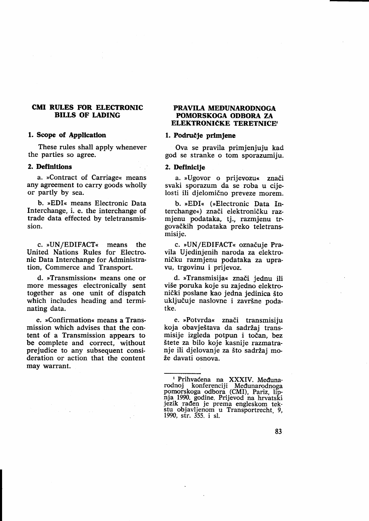## CMI RULES FOR ELECTRONIC BILLS OF LADING

### l. Scope of Appllcatlon

These rules shall apply whenever the parties so agree.

#### 2. Definitions

a. »Contract of Carriage« means any agreement to carry goods wholly or partly by sea.

b. "EDI< means Electronic Data Interchange, i. e. the interchange of trade data effected by teletransmission.

c. »UN/EDIFACT« means the United Nations Rules for Electronic Data Interchange for Administration, Commerce and Transport.

d. »Transmission« means one or more messages electronically sent together as one unit of dispatch which includes heading and terminating data.

e. »Confirmation« means a Transmission which advises that the content of a Transmission appears to be complete and correct, without prejudice to any subsequent consideration or action that the content may warrant.

### PRAVILA MEDUNARODNOGA POMORSKOGA ODBORA ZA ELEKTRONIČKE TERETNICE<sup>®</sup>

#### 1. Područie primiene

Ova se pravila primjenjuju kad god se stranke o tom sporazumiju.

#### 2. Definicije

a. »Ugovor o prijevozu« znači svaki sporazum da se roba u cijelosti ili djelomično preveze morem.

b. »EDI« (»Electronic Data Interchange«) znači elektroničku razmjenu podataka, tj., razmjenu trgovadkih podataka preko teletransmisije.

c. »UN/EDIFACT« označuje Pravila Ujedinjenih naroda za elektroničku razmjenu podataka za upravu, trgovinu i prijevoz.

d. »Transmisija« znači jednu ili vi5e poruka koje su zajedno elektronidki poslane kao jedna jedinica Sto uključuje naslovne i završne podatke.

e. »Potvrda« znači transmisiju koja obavještava da sadržaj transmisije izgleda potpun i točan, bez Stete za bilo koje kasnije razmatranje ili djelovanje za što sadržaj može davati osnova.

I Prihvaćena na XXXIV. Međunarodnoj konferenciji Međunarodnoga pomorskoga odbora (CMI), Pariz, lip-<br>nja 1990. godine. Prijevod na hrvatski<br>jezik rađen je prema engleskom tekstu- objavljenom u Transportrecht<sub>.</sub> 9,<br>stu- objavljenom u Transportrecht<sub>.</sub> 9,<br>1990, str. 355. i sl.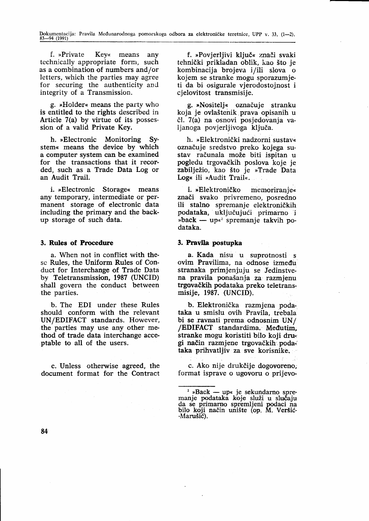f. »Private Key« means any technically appropriate form, such as a combination of numbers and/or letters, which the parties may agree for securing the authenticity and integrity of a Transmission.

g. »Holder« means the party who is entitled to the rights described in Article 7(a) by virtue of its possession of a valid Private Key.

h. »Electronic Monitoring System« means the device by which a computer system can be examined for the transactions that it recorded, such as a Trade Data Log or an Audit Trail.

i. »Electronic Storage« means any temporary, intermediate or permanent storage of electronic data including the primary and the backup storage of such data.

## 3. Rules of Procedure

a. When not in conflict with thesc Rules, the Uniform Rules of Conduct for Interchange of Trade Data by Teletransmission, 1987 (UNCID) shall govern the conduct between the parties.

b. The EDI under these Rules should conform with the relevant UN/EDIFACT standards. However, the parties may use any other method of trade data interchange acceptable to all of the users.

c. Unless otherwise agreed, the document format for the Contract

f. »Povjerljivi ključ« znači svaki tehnički prikladan oblik, kao što je kombinacija brojeva i/ili slova <sup>o</sup> kojem se stranke mogu sporazumjeti da bi osigurale vjerodostojnost i cjelovitost transmisije.

g. >Nositelj< oznaduje stranku koja je ovla5tenik,prava opisanih u čl. 7(a) na osnovi posjedovanja valjanoga povjerljivoga ključa.

h. »Elektronički nadzorni sustav« oznaduje sredstvo preko kojega sustav računala može biti ispitan u pogledu trgovadkih poslova koje je zabilježio, kao što je »Trade Data Log« ili »Audit Trail«.

i. »Elektroničko memoriranje« znači svako privremeno, posredno ili stalno spremanje elektroničkih podataka, uključujući primarno i »oack —<br>dataka.  $\mathbf{p}$ back — up«<sup>2</sup> spremanje takvih po-

## 3, Pravlla postupka

a. Kada nisu u suprotnosti <sup>s</sup> ovim Pravilima, na odnose izmedu stranaka primjenjuju se Jedinstvena pravila ponašanja za razmjenu trgovačkih podataka preko teletransmisije, 1987. (UNCID)

b. Elektronička razmjena podataka u smislu ovih Pravila, trebala bi se ravnati prema odnosnim UN/ /EDIFACT standardima. Medutim, stranke mogu koristiti bilo koji drugi nadin razmjene trgovadkih', poda;' taka prihvatljiv za sve korisnike.

c. Ako nije drukčije dogovoreno; format isprave o ugovoru o prijevo-

<sup>&</sup>lt;u>a spack</u> — up« je sekundarno spre-- manje podataka koje sluZi u sl'udaju da se primarno spremljeni podaci na bilo koji način unište (op. M. Veršić--Marušić).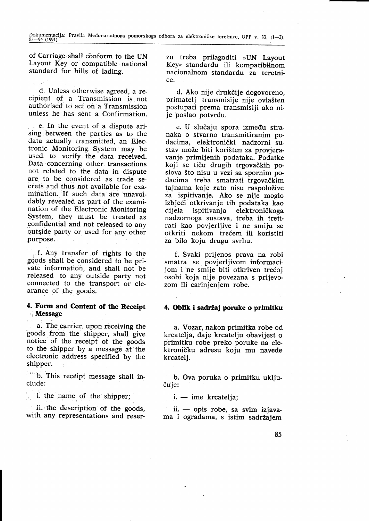of Carriage shall conform to the UN Layout Key or compatible national standard for bills of lading.

d. Unless otherwise agreed, a recipient of a Transmission is not authorised to act on a Transmission unless he has sent a Confirmation.

e. In the event of a dispute arising between the parties as to the data actually transmitted, an Electronic Monitoring System may be used to verify the data received. Data concerning other transactions not related to the data in dispute are to be considered as trade secrets and thus not available for examination. If such data are unavoidably revealed as part of the examination of the Electronic Monitoring System, they must be treated as confidential and not released to any outside party or used for any other purpose.

f. Any transfer of rights to the goods shall be considered to be private information, and shall not be released to any outside party not connected to the transport or clearance of the goods.

## 4. Form and Content of the Receipt **Message**

a. The carrier, upon receiving the goods from the shipper, shall give notice of the receipt of the goods to the shipper by a message at the electronic address specified by the shipper.

b. This receipt message shall include:

' i. the name of the shipper;

ii. the description of the goods, with any representations and reserzu treba prilagoditi »UN Layout Key« standardu ili kompatibilnom nacionalnom standardu za teretnice.

d. Ako nije drukčije dogovoreno, primateli transmisije nije ovlašten postupati prema transmisiji ako ni- je poslao potvrdu.

e. U slučaju spora između stranaka o stvarno transmitiranim podacima. elektronički nadzorni sustav može biti korišten za provjeravanje primljenih podataka. Podatke koji se tiču drugih trgovačkih poslova Sto nisu u vezi sa spornim podacima treba smatrati trgovačkim tajnama koje zato nisu raspoložive za ispitivanje. Ako se nije moglo izbjeći otkrivanje tih podataka kao<br>dijela ispitivanja elektroničkoga elektroničkoga nadzornoga sustava, treba ih tretirati kao povjerljive i ne smiju se otkriti nekom trećem ili koristiti za bilo koju drugu svrhu.

f. Svaki prijenos prava na robi smatra se povjerljivom informacijom i ne smije biti otkriven trećoj osobi koja nije povezana s prijevozom ili carinjenjem robe.

# 4. Oblik i sadržaj poruke o primitku

a. Yozar, nakon primitka robe od krcatelja, daje krcatelju obavijest o primitku robe preko poruke na elektroničku adresu koju mu navede krcatelj.

b. Ova poruka o primitku uključuje:

i. — ime krcatelja;

ii. — opis robe, sa svim izjavan. — opis robe, sa svim izjava<br>ma i ogradama, s istim sadržajem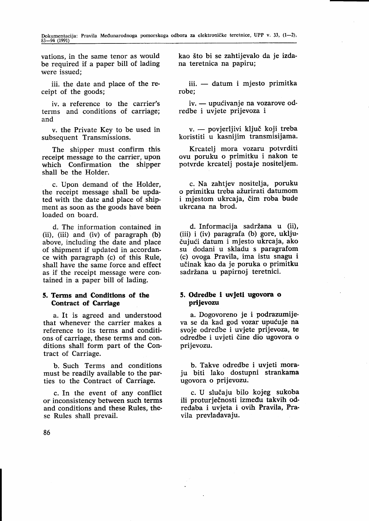vations, in the same tenor as would be required if a paper bill of lading were issued;

iii. the date and place of the receipt of the goods;

iv. a reference to the carrier's terms and conditions of carriage; and

v. the Private Key to be used in subsequent Transmissions.

The shipper must confirm this receipt message to the carrier, upon which Confirmation the shipper shall be the Holder.

c. Upon demand of the Holder, the receipt message shall be updated with the date and place of shipment as soon as the goods have been loaded on board.

d. The information contained in (ii), (iii) and (iv) of paragraph (b) above, including the date and place of shipment if updated in accordance with paragraph (c) of this Rule, shall have the same force and effect as if the receipt message were contained in a paper bill of lading.

## 5. Terms and Conditlons of the Contract of Carriage

a. It is agreed and understood that whenever the carrier makes a reference to its terms and conditions of carriage, these terms and conditions shall form part of the Contract of Carriage.

b. Such Terms and conditions must be readily available to the parties to the Contract of Carriage.

c. In the event of any conflict or inconsistency between such terms and conditions and these Rules, these Rules shall prevail.

kao Sto bi se zahtijevalo da je izdana teretnica na papiru;

iii. — datum i mjesto primit<mark>ka</mark><br>e: robe;

iv. — upućivanje na vozarove odrv. — upucivanje na voz<br>redbe i uvjete prijevoza i

v. — povjerljivi ključ koji treba v. — povjetljivi kijuč koji treba.<br>koristiti u kasnijim transmisijama

Krcatelj mora vozaru potvrditi ovu poruku o primitku i nakon te potvrde krcatelj postaje nositeljem.

c. Na zahtjev nositelja, poruku o primitku treba ažurirati datumom i mjestom ukrcaja, čim roba bude ukrcana na brod.

d. Informacija sadržana u (ii), (iii) i (iv) paragrafa (b) gore, uključujući datum i mjesto ukrcaja, ako su dodani u skladu s paragrafom (c) ovoga Pravila, ima istu snagu i udinak kao da je poruka o primitku sadržana u papirnoj teretnici.

## 5. Odredbe i uvJetl ugovora o prijevozu

a. Dogovoreno je i podrazumijeva se da kad god vozar upućuje na svoje odredbe i uvjete prijevoza, te odredbe i uvjeti čine dio ugovora o prijevozu.

b. Takve odredbe i uvjeti moraju biti lako dostupni strankama ugovora o prijevozu.

c. U slučaju bilo kojeg sukoba ili proturječnosti između takvih odredaba i uvjeta i ovih Pravila, Pravila prevladavaju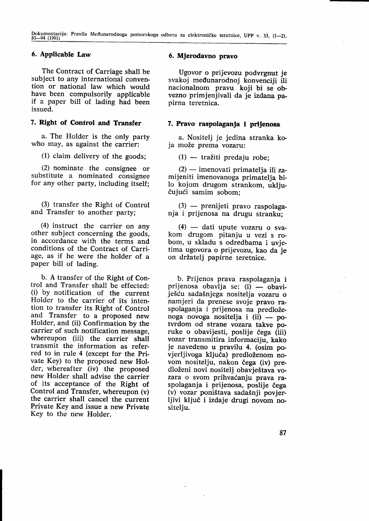# 6. Applicable Law

The Contract of Carriage shall be subject to any international convention or national law which would<br>have been compulsorily applicable if a paper bill of lading had been issued.

## 7. Right of Control and Transfer

a. The Holder is the only party who may, as against the carrier:

(1) claim delivery of the goods;

(2) nominate the consignee or substitute a nominated consignee for any other party, including itself;

(3) transfer the Right of Control and Transfer to another party;

(4) instruct the carrier on any other subject concerning the goods, in accordance with the terms and conditions of the Contract of Carriage, as if he were the holder of <sup>a</sup> paper bill of lading.

b. A transfer of the Right of Control and Transfer shall be effected: (i) by notification of the current Holder to the carrier of its intention to transfer its Right of Control and Transfer to a proposed new Holder, and (ii) Confirmation by the carrier of such notification message. whereupon (iii) the carrier shall transmit the information as referred to in rule 4 (except for the Private Key) to the proposed new Holder, whereafter (iv) the proposed new Holder shall advise the carrier of its acceptance of the Right of Control and Transfer, whereupon (v) the carrier shall cancel the current Private Key and issue a new Private Key to the new Holder.

## 6. Mjerodavno pravo

Ugovor o prijevozu podvrgnut je svakoj medunarodnoj konvenciji ili nacionalnom pravu koji bi se obvezno primjenjivali da je izdana papirna teretnica.

## 7. Pravo raspolagania i prijenosa

a. Nositelj je jedina stranka ko-<br>ja može prema vozaru:

(1) — tražiti predaju robe;

(2) — imenovati primatelja ili za-- mijeniti imenovanoga primatelja bi-Io kojom drugom strankom, uključujući samim sobom;

(3) prenijeti pravo raspolaga-(3) — premjeti pravo raspolag<br>nja i prijenosa na drugu stranku;

(4) dati upute vozaru o sva-- kom drugom pitanju u vezi s robom, u skladu s odredbama i uvietima ugovora o prijevozu, kao da je on držatelj papirne teretnice.

b. Prijenos prava raspolaganja i prijenosa obavlja se: (i) — obaviješću sadašnjega nositelja vozaru o namjeri da prenese svoje pravo raspolaganja i prijenosa na predloženoga novoga nositelja i (ii) po-- tvrdom od strane vozara takve poruke o obavijesti, poslije čega (iii)<br>vozar transmitira informaciju, kako je navedeno u pravilu 4. (osim povjerljivoga ključa) predloženom novom nositelju, nakon čega (iv) predloženi novi nositelj obavještava vozara o svom prihvaćanju prava raspolaganja i prijenosa, poslije čega (v) vozar poni5tava sada5nji povjerljivi ključ i izdaje drugi novom nositelju.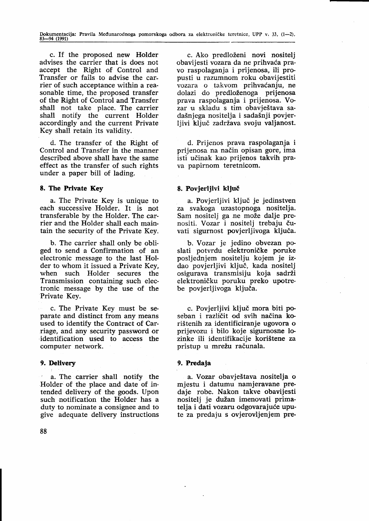c. If the proposed new Holder advises the carrier that is does not accept the Right of Control and Transfer or fails to advise the carrier of such acceptance within a reasonable time, the proposed transfer of the Right of Control and Transfer shall not take place. The carrier shall notify the current Holder accordingly and the current Private Key shall retain its validity.

d. The transfer of the Right of Control and Transfer in the manner described above shall have the same effect as the transfer of such rights under a paper bill of lading.

## 8. The Private Key

a. The Private Key is unique to each successive Holder. It is not transferable by the Holder. The carrier and the Holder shall each maintain the security of the Private Key.

b. The carrier shall only be obli ged to send a Confirmation of an electronic message to the last Holder to whom it issued a Private Key, when such Holder secures the Transmission containing such electronic message by the use of the Private Key.

c. The Private Key must be separate and distinct from any means used to identify the Contract of Carriage, and any security password or identification used to access the computer network.

# 9. Delivery

a. The carrier shall notify the Holder of the place and date of intended delivery of the goods. Upon such notification the Holder has <sup>a</sup> duty to nominate a consignee and to give adequate delivery instructions

c. Ako predloženi novi nositeli obavijesti vozara da ne prihvaća pravo raspolaganja i prijenosa, ili propusti u razumnom roku obavijestiti vozara o takvom prihvaćanju, ne dolazi do predloženoga prijenosa prava raspolaganja i prijenosa. Vozar u skladu s tim obavještava sada5njega nositelja i sada5nji povjerliivi ključ zadržava svoju valjanost.

d. Prijenos prava raspolaganja i prijenosa na nadin opisan gore, ima isti udinak kao prijenos takvih prava papirnom teretnicom.

# 8. Povjerljivi ključ

a. Povjerljivi ključ je jedinstven za svakoga uzastopnoga nositelja. Sam nositelj ga ne može dalje prenositi. Vozar i nositelj trebaju čuvati sigurnost povjerlijvoga ključa.

b. Vozar je jedino obvezan poslati potvrdu elektroničke poruke posljednjem 'nositelju kojem je izdao povjerljivi ključ, kada nositelj osigurava transmisiju koja sadrži elektroničku poruku preko upotrebe povjerljivoga ključa.

c. Povjerljivi ključ mora biti poseban i različit od svih načina kori5tenih za identificiranje ugovora o prijevozu i bilo koje sigurnosne lozinke ili identifikacije korištene za pristup u mrežu računala.

## 9. Predaja

a. Yozar obavje5tava nositelja o mjestu i datumu namjeravane predaje robe. Nakon takve obavijesti nositelj je dužan imenovati primatelja i dati vozaru odgovarajuće upute za predaju s ovjerovljenjem pre-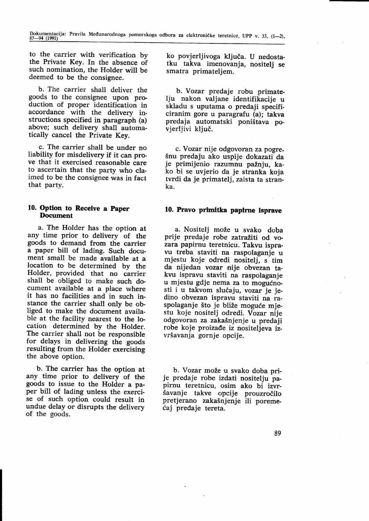to the carrier with verification by the Private Key. In the absence of such nomination, the Holder will be deemed to be the consignee.

b. The carrier shall deliver the goods to the consignee upon production of proper identification in accordance with the delivery instructions specified in paragraph (a) above; such delivery shall automatically cancel the Private Key.

c. The carrier shall be under no liability for misdelivery if it can prove that it exercised reasonable care to ascertain that the party who claimed to be the consignee was in fact that party.

#### 10. Option to Receive a Paper I)ocument

a. The Holder has the option at any time prior to delivery of the goods to demand from the carrier a paper bill of lading. Such document small be made available at a location to be determined by the Holder, provided that no carrier shall be obliged to make such document available at a place where it has no facilities and in such instance the carrier shall only be ob-Iiged to make the document available at the facility nearest to the location determined by the Holder.<br>The carrier shall not be responsible for delays in delivering the goods resulting from the Holder exercising the above option.

b. The carrier has the option at any time prior to delivery of the goods to issue to the Holder a paper bill of lading unless the exercise of such option could result in undue delay or disrupts the delivery of the goods.

ko povierliivoga kliuča. U nedostatku takva imenovanja, nositelj se smatra primateliem.

b. Vozar predaje robu primateliu nakon valjane identifikacije u skladu s uputama o predaji specificiranim gore u paragrafu (a); takva predaja automatski poni5tava povierliivi kliuč.

c. Yozar nije odgovoran za pogrešnu predaju ako uspije dokazati da<br>je primijenio razumnu pažnju, kako bi se uvjerio da je stranka koja tvrdi da je primatelj, zaista ta stranka.

## 10. Pravo primitka papirne isprave

a. Nositelj može u svako doba<br>prije predaje robe zatražiti od vozara papirnu teretnicu. Takvu ispravu treba staviti na raspolaganje u mjestu koje odredi nositelj, s tim da nijedan vozar nije obvezan takvu ispravu staviti na raspolaganje u mjestu gdje nema za to mogućnosti i u takvom slučaju, vozar je jedino obvezan ispravu staviti na raspolaganje što je bliže moguće mjestu koje nositelj odredi. Vozar nije odgovoran za zaka5njenje u predaji robe koje proizađe iz nositeljeva izvršavanja gornje opcije.

b. Vozar može u svako doba pri-<br>ie predaje robe izdati nositelju papirnu teretnicu, osim ako bi izvr-Savanje takve opcije prouzrodilo pretjerano zakašnjenje ili poremetaj predaje tereta.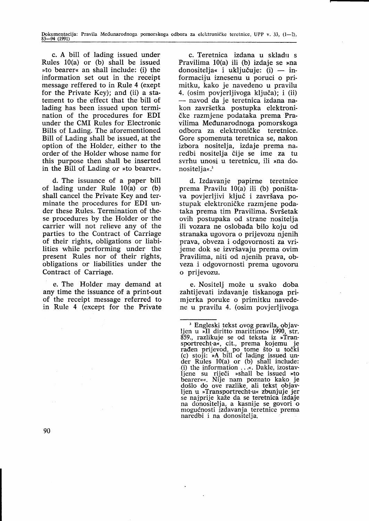c. A bill of lading issued under Rules 10(a) or (b) shall be issued »to bearer« an shall include: (i) the information set out in the receipt message reffered to in Rule 4 (exept for the Private Key); and (ii) a statement to the effect that the bill of lading has been issued upon termination of the procedures for EDI under the CMI Rules for Electronic Bills of Lading. The aforementioned Bill of Lading shall be issued, at the option of the Holder, either to the order of the Holder whose name for this purpose then shall be inserted in the Bill of Lading or  $\ast$  to bearer.

d. The issuance of a paper bill of lading under Rule 10(a) or (b) shall cancel the Private Key and terminate the procedures for EDI under these Rules. Termination of these procedures by the Holder or the carrier will not relieve any of the parties to the Contract of Carriage of their rights, obligations or liabilities while performing under the present Rules nor of their rights, obligations or liabilities under the Contract of Carriage.

e. The Holder may demand at any time the issuance of a print-out of the receipt message referred to in Rule 4 (except for the Private

c. Teretnica izdana u skladu s Pravilima  $10(a)$  ili (b) izdaje se »na donositelja« i uključuje: (i) — informaciju iznesenu u poruci o primitku, kako je navedeno u pravilu 4. (osim povjerljivoga ključa); i (ii) — navou ua je teretinca izuana na-<br>kon završetka postupka elektroninavod da je teretnica izdana načke razmjene podataka prema Pravilima Mectunarodnoga pomorskoga odbora za elektroničke teretnice. Gore spomenuta teretnica se, nakon izbora nositelja, izdaje prema naredbi nositelja dije se ime za tu svrhu unosi u teretnicu, ili »na donositelia«.<sup>3</sup>

d. Izdavanje papirne teretnice prema Pravilu 10(a) ili (b) poni5tava povjerljivi ključ i završava postupak elektroničke razmjene podataka prema tim Pravilima. Svršetak ovih postupaka od strane nositelja ili vozara ne oslobada bilo koju od stranaka ugovora o prijevozu njenih prava, obveza i odgovornosti za vrijeme dok se izvršavaju prema ovim Pravilima, niti od njenih prava, obveza i odgovornosti prema ugovoru o prijevozu.

e. Nositelj može u svako doba zahtijevati izdavanje tiskanoga primjerka poruke o primitku navedene u pravilu 4. (osim povjerljivoga

<sup>&#</sup>x27; Engleski tekst ovog pravila, objavljen u »Il diritto marittimo« 1990, str. 859., razlikuje se od teksta iz »Tran-<br>sportrecht-a«, cit., prema kojemu je sportrecht-a«, cit., prema kojemu je<br>rađen prijevod, po tome što u točki (c) stoji: >A bill of lading issued under Rules  $10(a)$  or (b) shall include (i) the information  $\dots$ . Dakle, izostavljene su riječi »shall be issued »to bearer«. Nije nam poznato kako je doSlo do ove 'razlike, ali tekst objav-ljen u oTransportrecht-u< zbunjuje jer se najprije kaže da se teretnica izdaje na donositelja, a kasnije se govori o mogućnosti izdavanja teretnice prema naredbi i na donositelja.